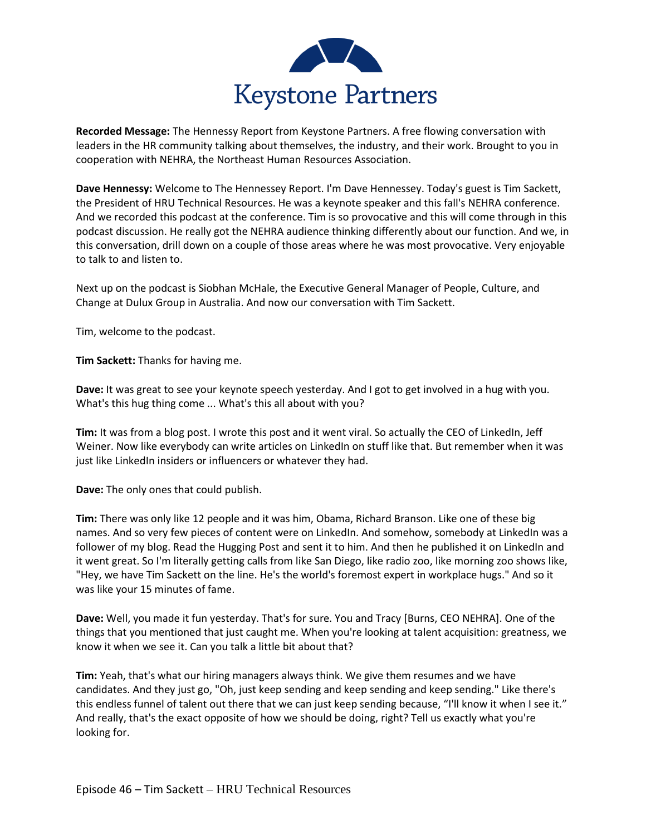

**Recorded Message:** The Hennessy Report from Keystone Partners. A free flowing conversation with leaders in the HR community talking about themselves, the industry, and their work. Brought to you in cooperation with NEHRA, the Northeast Human Resources Association.

**Dave Hennessy:** Welcome to The Hennessey Report. I'm Dave Hennessey. Today's guest is Tim Sackett, the President of HRU Technical Resources. He was a keynote speaker and this fall's NEHRA conference. And we recorded this podcast at the conference. Tim is so provocative and this will come through in this podcast discussion. He really got the NEHRA audience thinking differently about our function. And we, in this conversation, drill down on a couple of those areas where he was most provocative. Very enjoyable to talk to and listen to.

Next up on the podcast is Siobhan McHale, the Executive General Manager of People, Culture, and Change at Dulux Group in Australia. And now our conversation with Tim Sackett.

Tim, welcome to the podcast.

**Tim Sackett:** Thanks for having me.

**Dave:** It was great to see your keynote speech yesterday. And I got to get involved in a hug with you. What's this hug thing come ... What's this all about with you?

**Tim:** It was from a blog post. I wrote this post and it went viral. So actually the CEO of LinkedIn, Jeff Weiner. Now like everybody can write articles on LinkedIn on stuff like that. But remember when it was just like LinkedIn insiders or influencers or whatever they had.

**Dave:** The only ones that could publish.

**Tim:** There was only like 12 people and it was him, Obama, Richard Branson. Like one of these big names. And so very few pieces of content were on LinkedIn. And somehow, somebody at LinkedIn was a follower of my blog. Read the Hugging Post and sent it to him. And then he published it on LinkedIn and it went great. So I'm literally getting calls from like San Diego, like radio zoo, like morning zoo shows like, "Hey, we have Tim Sackett on the line. He's the world's foremost expert in workplace hugs." And so it was like your 15 minutes of fame.

**Dave:** Well, you made it fun yesterday. That's for sure. You and Tracy [Burns, CEO NEHRA]. One of the things that you mentioned that just caught me. When you're looking at talent acquisition: greatness, we know it when we see it. Can you talk a little bit about that?

**Tim:** Yeah, that's what our hiring managers always think. We give them resumes and we have candidates. And they just go, "Oh, just keep sending and keep sending and keep sending." Like there's this endless funnel of talent out there that we can just keep sending because, "I'll know it when I see it." And really, that's the exact opposite of how we should be doing, right? Tell us exactly what you're looking for.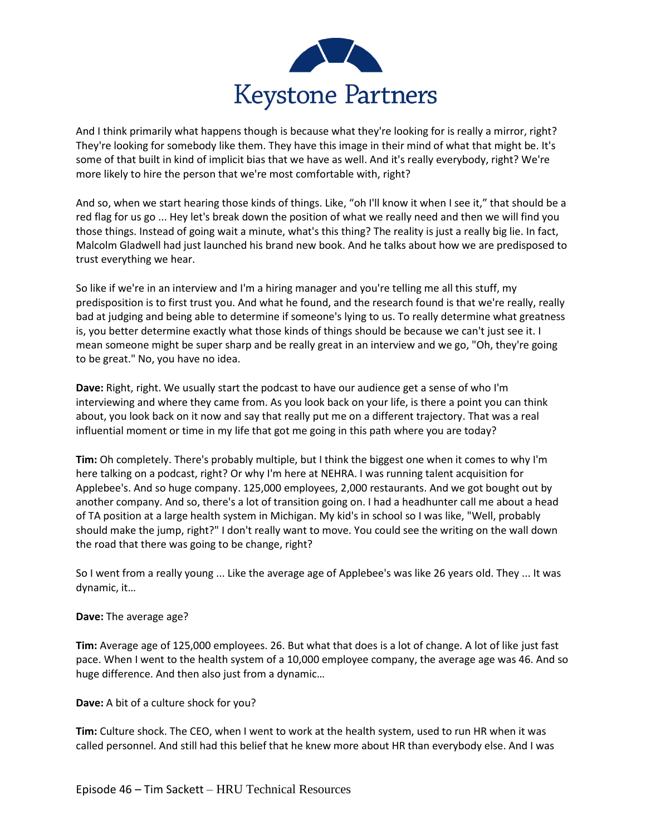

And I think primarily what happens though is because what they're looking for is really a mirror, right? They're looking for somebody like them. They have this image in their mind of what that might be. It's some of that built in kind of implicit bias that we have as well. And it's really everybody, right? We're more likely to hire the person that we're most comfortable with, right?

And so, when we start hearing those kinds of things. Like, "oh I'll know it when I see it," that should be a red flag for us go ... Hey let's break down the position of what we really need and then we will find you those things. Instead of going wait a minute, what's this thing? The reality is just a really big lie. In fact, Malcolm Gladwell had just launched his brand new book. And he talks about how we are predisposed to trust everything we hear.

So like if we're in an interview and I'm a hiring manager and you're telling me all this stuff, my predisposition is to first trust you. And what he found, and the research found is that we're really, really bad at judging and being able to determine if someone's lying to us. To really determine what greatness is, you better determine exactly what those kinds of things should be because we can't just see it. I mean someone might be super sharp and be really great in an interview and we go, "Oh, they're going to be great." No, you have no idea.

**Dave:** Right, right. We usually start the podcast to have our audience get a sense of who I'm interviewing and where they came from. As you look back on your life, is there a point you can think about, you look back on it now and say that really put me on a different trajectory. That was a real influential moment or time in my life that got me going in this path where you are today?

**Tim:** Oh completely. There's probably multiple, but I think the biggest one when it comes to why I'm here talking on a podcast, right? Or why I'm here at NEHRA. I was running talent acquisition for Applebee's. And so huge company. 125,000 employees, 2,000 restaurants. And we got bought out by another company. And so, there's a lot of transition going on. I had a headhunter call me about a head of TA position at a large health system in Michigan. My kid's in school so I was like, "Well, probably should make the jump, right?" I don't really want to move. You could see the writing on the wall down the road that there was going to be change, right?

So I went from a really young ... Like the average age of Applebee's was like 26 years old. They ... It was dynamic, it…

# **Dave:** The average age?

**Tim:** Average age of 125,000 employees. 26. But what that does is a lot of change. A lot of like just fast pace. When I went to the health system of a 10,000 employee company, the average age was 46. And so huge difference. And then also just from a dynamic…

# **Dave:** A bit of a culture shock for you?

**Tim:** Culture shock. The CEO, when I went to work at the health system, used to run HR when it was called personnel. And still had this belief that he knew more about HR than everybody else. And I was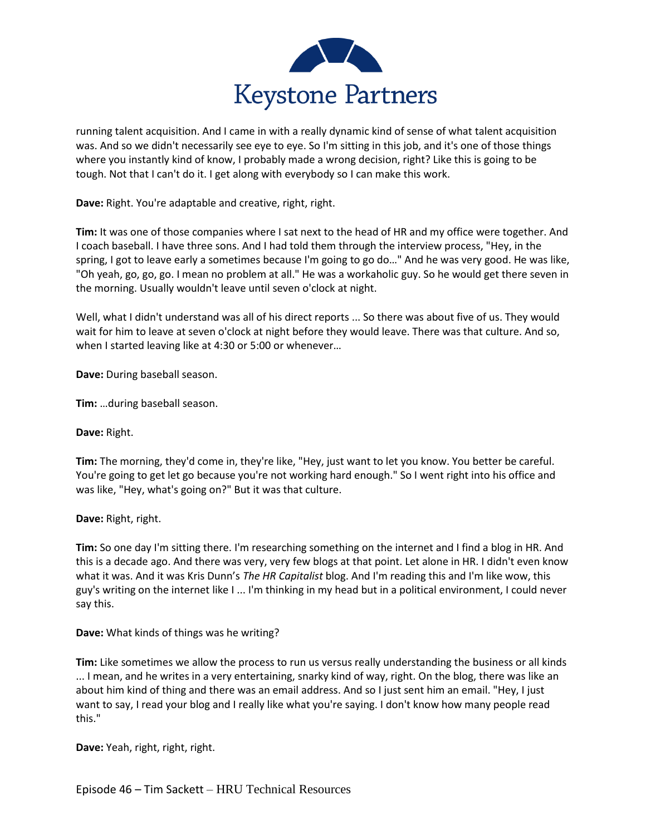

running talent acquisition. And I came in with a really dynamic kind of sense of what talent acquisition was. And so we didn't necessarily see eye to eye. So I'm sitting in this job, and it's one of those things where you instantly kind of know, I probably made a wrong decision, right? Like this is going to be tough. Not that I can't do it. I get along with everybody so I can make this work.

**Dave:** Right. You're adaptable and creative, right, right.

**Tim:** It was one of those companies where I sat next to the head of HR and my office were together. And I coach baseball. I have three sons. And I had told them through the interview process, "Hey, in the spring, I got to leave early a sometimes because I'm going to go do..." And he was very good. He was like, "Oh yeah, go, go, go. I mean no problem at all." He was a workaholic guy. So he would get there seven in the morning. Usually wouldn't leave until seven o'clock at night.

Well, what I didn't understand was all of his direct reports ... So there was about five of us. They would wait for him to leave at seven o'clock at night before they would leave. There was that culture. And so, when I started leaving like at 4:30 or 5:00 or whenever…

**Dave:** During baseball season.

**Tim:** …during baseball season.

#### **Dave:** Right.

**Tim:** The morning, they'd come in, they're like, "Hey, just want to let you know. You better be careful. You're going to get let go because you're not working hard enough." So I went right into his office and was like, "Hey, what's going on?" But it was that culture.

#### **Dave:** Right, right.

**Tim:** So one day I'm sitting there. I'm researching something on the internet and I find a blog in HR. And this is a decade ago. And there was very, very few blogs at that point. Let alone in HR. I didn't even know what it was. And it was Kris Dunn's *The HR Capitalist* blog. And I'm reading this and I'm like wow, this guy's writing on the internet like I ... I'm thinking in my head but in a political environment, I could never say this.

**Dave:** What kinds of things was he writing?

**Tim:** Like sometimes we allow the process to run us versus really understanding the business or all kinds ... I mean, and he writes in a very entertaining, snarky kind of way, right. On the blog, there was like an about him kind of thing and there was an email address. And so I just sent him an email. "Hey, I just want to say, I read your blog and I really like what you're saying. I don't know how many people read this."

**Dave:** Yeah, right, right, right.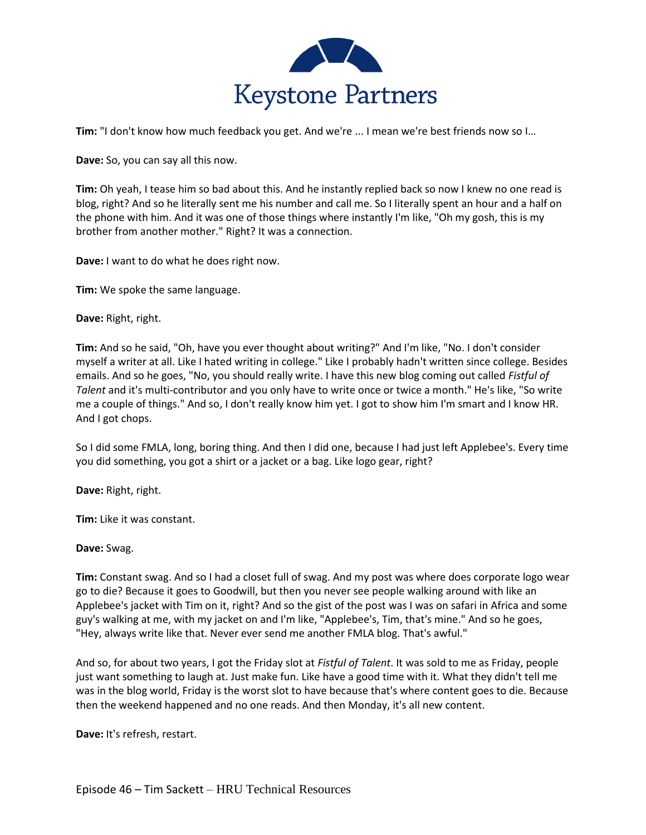

**Tim:** "I don't know how much feedback you get. And we're ... I mean we're best friends now so I...

**Dave:** So, you can say all this now.

**Tim:** Oh yeah, I tease him so bad about this. And he instantly replied back so now I knew no one read is blog, right? And so he literally sent me his number and call me. So I literally spent an hour and a half on the phone with him. And it was one of those things where instantly I'm like, "Oh my gosh, this is my brother from another mother." Right? It was a connection.

**Dave:** I want to do what he does right now.

**Tim:** We spoke the same language.

**Dave:** Right, right.

**Tim:** And so he said, "Oh, have you ever thought about writing?" And I'm like, "No. I don't consider myself a writer at all. Like I hated writing in college." Like I probably hadn't written since college. Besides emails. And so he goes, "No, you should really write. I have this new blog coming out called *Fistful of Talent* and it's multi-contributor and you only have to write once or twice a month." He's like, "So write me a couple of things." And so, I don't really know him yet. I got to show him I'm smart and I know HR. And I got chops.

So I did some FMLA, long, boring thing. And then I did one, because I had just left Applebee's. Every time you did something, you got a shirt or a jacket or a bag. Like logo gear, right?

**Dave:** Right, right.

**Tim:** Like it was constant.

**Dave:** Swag.

**Tim:** Constant swag. And so I had a closet full of swag. And my post was where does corporate logo wear go to die? Because it goes to Goodwill, but then you never see people walking around with like an Applebee's jacket with Tim on it, right? And so the gist of the post was I was on safari in Africa and some guy's walking at me, with my jacket on and I'm like, "Applebee's, Tim, that's mine." And so he goes, "Hey, always write like that. Never ever send me another FMLA blog. That's awful."

And so, for about two years, I got the Friday slot at *Fistful of Talent*. It was sold to me as Friday, people just want something to laugh at. Just make fun. Like have a good time with it. What they didn't tell me was in the blog world, Friday is the worst slot to have because that's where content goes to die. Because then the weekend happened and no one reads. And then Monday, it's all new content.

**Dave:** It's refresh, restart.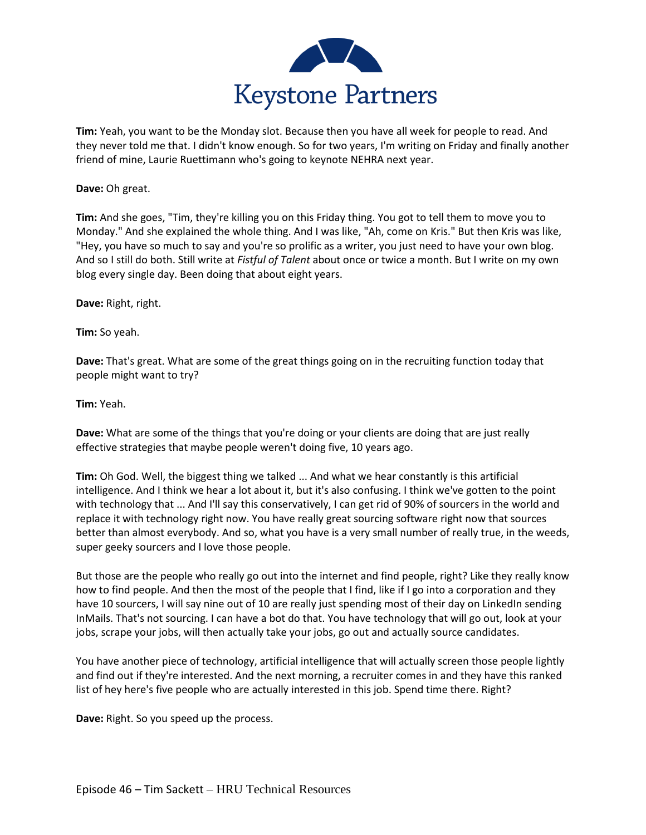

**Tim:** Yeah, you want to be the Monday slot. Because then you have all week for people to read. And they never told me that. I didn't know enough. So for two years, I'm writing on Friday and finally another friend of mine, Laurie Ruettimann who's going to keynote NEHRA next year.

### **Dave:** Oh great.

**Tim:** And she goes, "Tim, they're killing you on this Friday thing. You got to tell them to move you to Monday." And she explained the whole thing. And I was like, "Ah, come on Kris." But then Kris was like, "Hey, you have so much to say and you're so prolific as a writer, you just need to have your own blog. And so I still do both. Still write at *Fistful of Talent* about once or twice a month. But I write on my own blog every single day. Been doing that about eight years.

**Dave:** Right, right.

**Tim:** So yeah.

**Dave:** That's great. What are some of the great things going on in the recruiting function today that people might want to try?

**Tim:** Yeah.

**Dave:** What are some of the things that you're doing or your clients are doing that are just really effective strategies that maybe people weren't doing five, 10 years ago.

**Tim:** Oh God. Well, the biggest thing we talked ... And what we hear constantly is this artificial intelligence. And I think we hear a lot about it, but it's also confusing. I think we've gotten to the point with technology that ... And I'll say this conservatively, I can get rid of 90% of sourcers in the world and replace it with technology right now. You have really great sourcing software right now that sources better than almost everybody. And so, what you have is a very small number of really true, in the weeds, super geeky sourcers and I love those people.

But those are the people who really go out into the internet and find people, right? Like they really know how to find people. And then the most of the people that I find, like if I go into a corporation and they have 10 sourcers, I will say nine out of 10 are really just spending most of their day on LinkedIn sending InMails. That's not sourcing. I can have a bot do that. You have technology that will go out, look at your jobs, scrape your jobs, will then actually take your jobs, go out and actually source candidates.

You have another piece of technology, artificial intelligence that will actually screen those people lightly and find out if they're interested. And the next morning, a recruiter comes in and they have this ranked list of hey here's five people who are actually interested in this job. Spend time there. Right?

**Dave:** Right. So you speed up the process.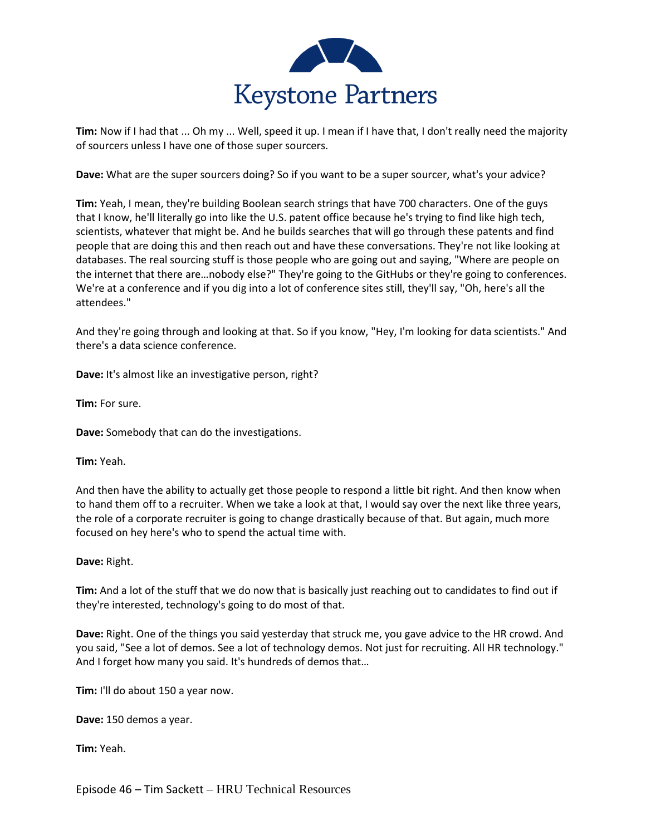

**Tim:** Now if I had that ... Oh my ... Well, speed it up. I mean if I have that, I don't really need the majority of sourcers unless I have one of those super sourcers.

**Dave:** What are the super sourcers doing? So if you want to be a super sourcer, what's your advice?

**Tim:** Yeah, I mean, they're building Boolean search strings that have 700 characters. One of the guys that I know, he'll literally go into like the U.S. patent office because he's trying to find like high tech, scientists, whatever that might be. And he builds searches that will go through these patents and find people that are doing this and then reach out and have these conversations. They're not like looking at databases. The real sourcing stuff is those people who are going out and saying, "Where are people on the internet that there are…nobody else?" They're going to the GitHubs or they're going to conferences. We're at a conference and if you dig into a lot of conference sites still, they'll say, "Oh, here's all the attendees."

And they're going through and looking at that. So if you know, "Hey, I'm looking for data scientists." And there's a data science conference.

**Dave:** It's almost like an investigative person, right?

**Tim:** For sure.

**Dave:** Somebody that can do the investigations.

**Tim:** Yeah.

And then have the ability to actually get those people to respond a little bit right. And then know when to hand them off to a recruiter. When we take a look at that, I would say over the next like three years, the role of a corporate recruiter is going to change drastically because of that. But again, much more focused on hey here's who to spend the actual time with.

**Dave:** Right.

**Tim:** And a lot of the stuff that we do now that is basically just reaching out to candidates to find out if they're interested, technology's going to do most of that.

**Dave:** Right. One of the things you said yesterday that struck me, you gave advice to the HR crowd. And you said, "See a lot of demos. See a lot of technology demos. Not just for recruiting. All HR technology." And I forget how many you said. It's hundreds of demos that…

**Tim:** I'll do about 150 a year now.

**Dave:** 150 demos a year.

**Tim:** Yeah.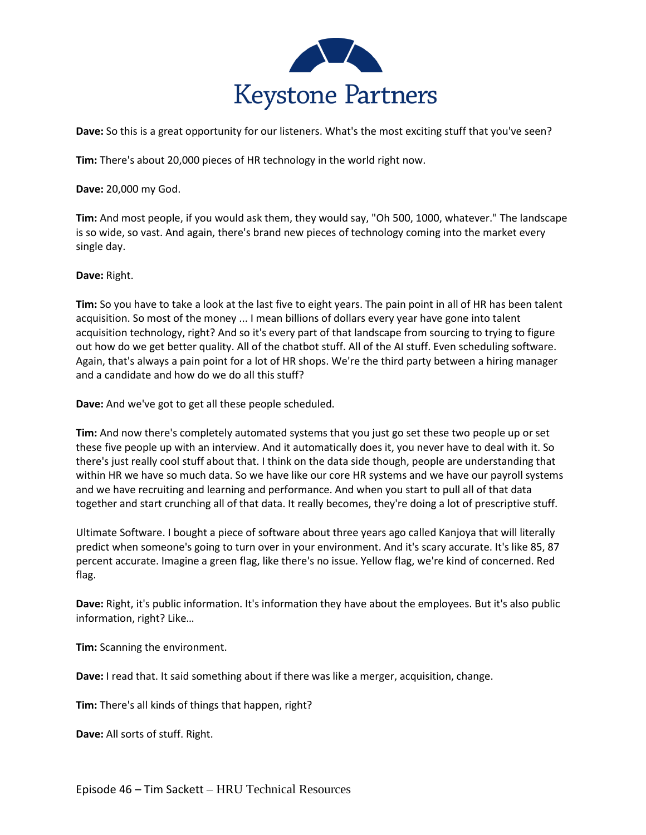

**Dave:** So this is a great opportunity for our listeners. What's the most exciting stuff that you've seen?

**Tim:** There's about 20,000 pieces of HR technology in the world right now.

**Dave:** 20,000 my God.

**Tim:** And most people, if you would ask them, they would say, "Oh 500, 1000, whatever." The landscape is so wide, so vast. And again, there's brand new pieces of technology coming into the market every single day.

**Dave:** Right.

**Tim:** So you have to take a look at the last five to eight years. The pain point in all of HR has been talent acquisition. So most of the money ... I mean billions of dollars every year have gone into talent acquisition technology, right? And so it's every part of that landscape from sourcing to trying to figure out how do we get better quality. All of the chatbot stuff. All of the AI stuff. Even scheduling software. Again, that's always a pain point for a lot of HR shops. We're the third party between a hiring manager and a candidate and how do we do all this stuff?

**Dave:** And we've got to get all these people scheduled.

**Tim:** And now there's completely automated systems that you just go set these two people up or set these five people up with an interview. And it automatically does it, you never have to deal with it. So there's just really cool stuff about that. I think on the data side though, people are understanding that within HR we have so much data. So we have like our core HR systems and we have our payroll systems and we have recruiting and learning and performance. And when you start to pull all of that data together and start crunching all of that data. It really becomes, they're doing a lot of prescriptive stuff.

Ultimate Software. I bought a piece of software about three years ago called Kanjoya that will literally predict when someone's going to turn over in your environment. And it's scary accurate. It's like 85, 87 percent accurate. Imagine a green flag, like there's no issue. Yellow flag, we're kind of concerned. Red flag.

**Dave:** Right, it's public information. It's information they have about the employees. But it's also public information, right? Like…

**Tim:** Scanning the environment.

**Dave:** I read that. It said something about if there was like a merger, acquisition, change.

**Tim:** There's all kinds of things that happen, right?

**Dave:** All sorts of stuff. Right.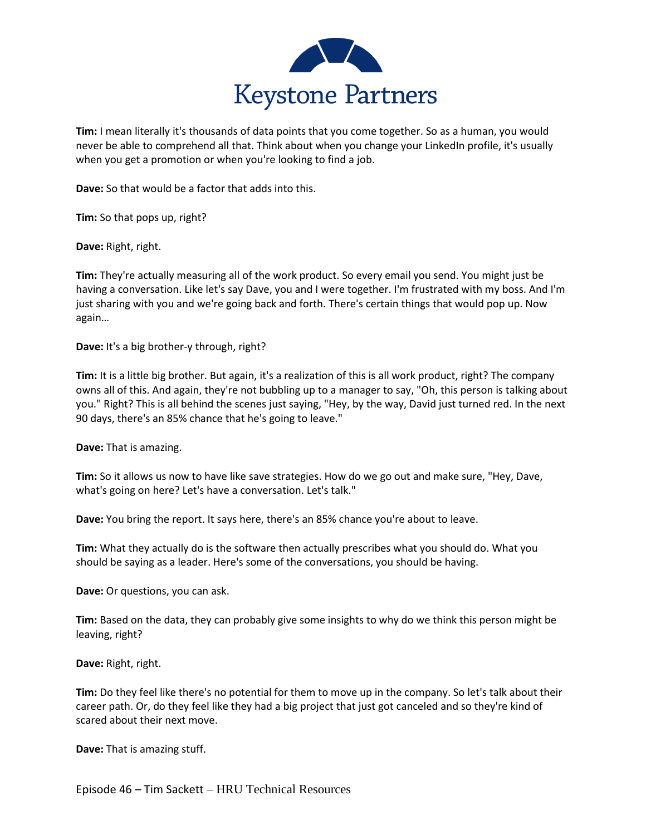

**Tim:** I mean literally it's thousands of data points that you come together. So as a human, you would never be able to comprehend all that. Think about when you change your LinkedIn profile, it's usually when you get a promotion or when you're looking to find a job.

**Dave:** So that would be a factor that adds into this.

**Tim:** So that pops up, right?

**Dave:** Right, right.

**Tim:** They're actually measuring all of the work product. So every email you send. You might just be having a conversation. Like let's say Dave, you and I were together. I'm frustrated with my boss. And I'm just sharing with you and we're going back and forth. There's certain things that would pop up. Now again…

**Dave:** It's a big brother-y through, right?

**Tim:** It is a little big brother. But again, it's a realization of this is all work product, right? The company owns all of this. And again, they're not bubbling up to a manager to say, "Oh, this person is talking about you." Right? This is all behind the scenes just saying, "Hey, by the way, David just turned red. In the next 90 days, there's an 85% chance that he's going to leave."

**Dave:** That is amazing.

**Tim:** So it allows us now to have like save strategies. How do we go out and make sure, "Hey, Dave, what's going on here? Let's have a conversation. Let's talk."

**Dave:** You bring the report. It says here, there's an 85% chance you're about to leave.

**Tim:** What they actually do is the software then actually prescribes what you should do. What you should be saying as a leader. Here's some of the conversations, you should be having.

**Dave:** Or questions, you can ask.

**Tim:** Based on the data, they can probably give some insights to why do we think this person might be leaving, right?

**Dave:** Right, right.

**Tim:** Do they feel like there's no potential for them to move up in the company. So let's talk about their career path. Or, do they feel like they had a big project that just got canceled and so they're kind of scared about their next move.

**Dave:** That is amazing stuff.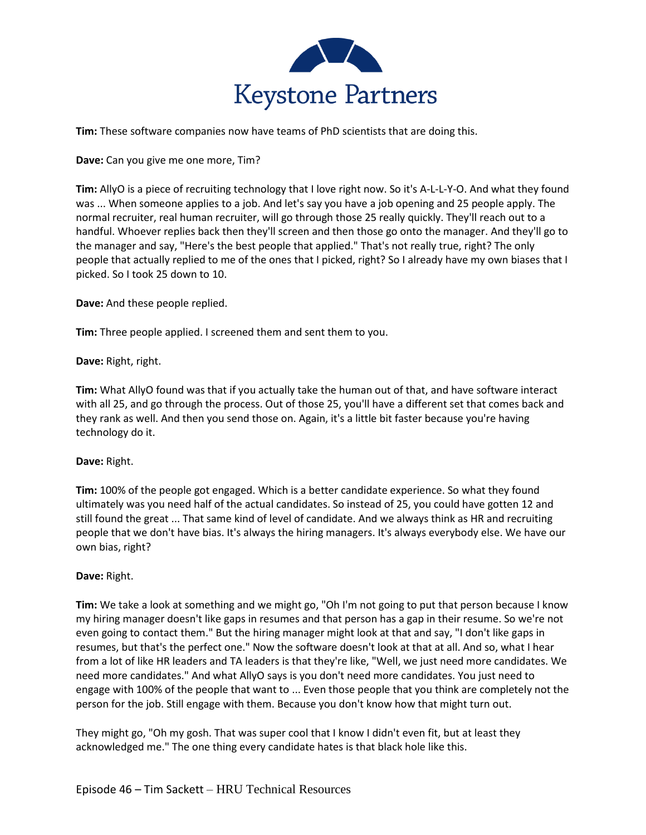

**Tim:** These software companies now have teams of PhD scientists that are doing this.

**Dave:** Can you give me one more, Tim?

**Tim:** AllyO is a piece of recruiting technology that I love right now. So it's A-L-L-Y-O. And what they found was ... When someone applies to a job. And let's say you have a job opening and 25 people apply. The normal recruiter, real human recruiter, will go through those 25 really quickly. They'll reach out to a handful. Whoever replies back then they'll screen and then those go onto the manager. And they'll go to the manager and say, "Here's the best people that applied." That's not really true, right? The only people that actually replied to me of the ones that I picked, right? So I already have my own biases that I picked. So I took 25 down to 10.

**Dave:** And these people replied.

**Tim:** Three people applied. I screened them and sent them to you.

**Dave:** Right, right.

**Tim:** What AllyO found was that if you actually take the human out of that, and have software interact with all 25, and go through the process. Out of those 25, you'll have a different set that comes back and they rank as well. And then you send those on. Again, it's a little bit faster because you're having technology do it.

#### **Dave:** Right.

**Tim:** 100% of the people got engaged. Which is a better candidate experience. So what they found ultimately was you need half of the actual candidates. So instead of 25, you could have gotten 12 and still found the great ... That same kind of level of candidate. And we always think as HR and recruiting people that we don't have bias. It's always the hiring managers. It's always everybody else. We have our own bias, right?

# **Dave:** Right.

**Tim:** We take a look at something and we might go, "Oh I'm not going to put that person because I know my hiring manager doesn't like gaps in resumes and that person has a gap in their resume. So we're not even going to contact them." But the hiring manager might look at that and say, "I don't like gaps in resumes, but that's the perfect one." Now the software doesn't look at that at all. And so, what I hear from a lot of like HR leaders and TA leaders is that they're like, "Well, we just need more candidates. We need more candidates." And what AllyO says is you don't need more candidates. You just need to engage with 100% of the people that want to ... Even those people that you think are completely not the person for the job. Still engage with them. Because you don't know how that might turn out.

They might go, "Oh my gosh. That was super cool that I know I didn't even fit, but at least they acknowledged me." The one thing every candidate hates is that black hole like this.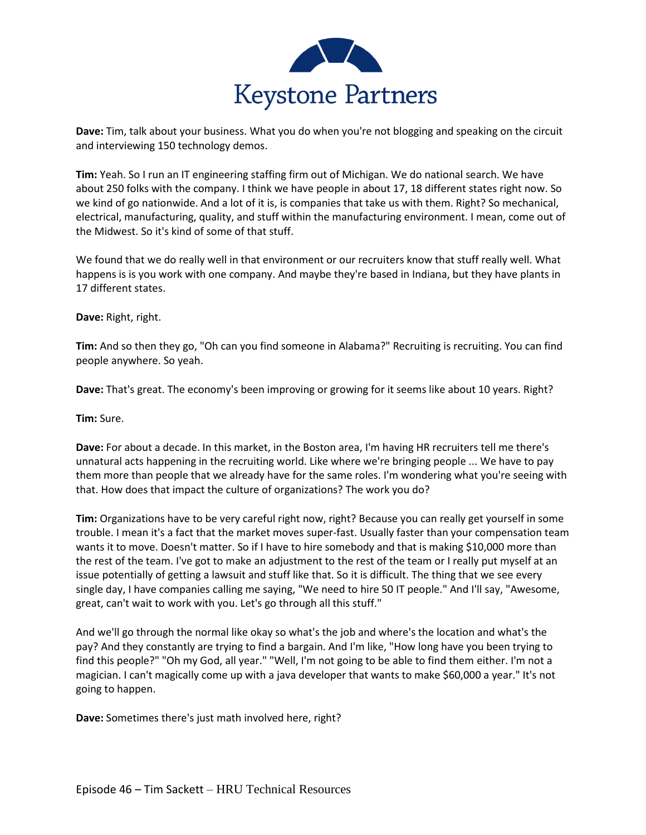

**Dave:** Tim, talk about your business. What you do when you're not blogging and speaking on the circuit and interviewing 150 technology demos.

**Tim:** Yeah. So I run an IT engineering staffing firm out of Michigan. We do national search. We have about 250 folks with the company. I think we have people in about 17, 18 different states right now. So we kind of go nationwide. And a lot of it is, is companies that take us with them. Right? So mechanical, electrical, manufacturing, quality, and stuff within the manufacturing environment. I mean, come out of the Midwest. So it's kind of some of that stuff.

We found that we do really well in that environment or our recruiters know that stuff really well. What happens is is you work with one company. And maybe they're based in Indiana, but they have plants in 17 different states.

**Dave:** Right, right.

**Tim:** And so then they go, "Oh can you find someone in Alabama?" Recruiting is recruiting. You can find people anywhere. So yeah.

**Dave:** That's great. The economy's been improving or growing for it seems like about 10 years. Right?

**Tim:** Sure.

**Dave:** For about a decade. In this market, in the Boston area, I'm having HR recruiters tell me there's unnatural acts happening in the recruiting world. Like where we're bringing people ... We have to pay them more than people that we already have for the same roles. I'm wondering what you're seeing with that. How does that impact the culture of organizations? The work you do?

**Tim:** Organizations have to be very careful right now, right? Because you can really get yourself in some trouble. I mean it's a fact that the market moves super-fast. Usually faster than your compensation team wants it to move. Doesn't matter. So if I have to hire somebody and that is making \$10,000 more than the rest of the team. I've got to make an adjustment to the rest of the team or I really put myself at an issue potentially of getting a lawsuit and stuff like that. So it is difficult. The thing that we see every single day, I have companies calling me saying, "We need to hire 50 IT people." And I'll say, "Awesome, great, can't wait to work with you. Let's go through all this stuff."

And we'll go through the normal like okay so what's the job and where's the location and what's the pay? And they constantly are trying to find a bargain. And I'm like, "How long have you been trying to find this people?" "Oh my God, all year." "Well, I'm not going to be able to find them either. I'm not a magician. I can't magically come up with a java developer that wants to make \$60,000 a year." It's not going to happen.

**Dave:** Sometimes there's just math involved here, right?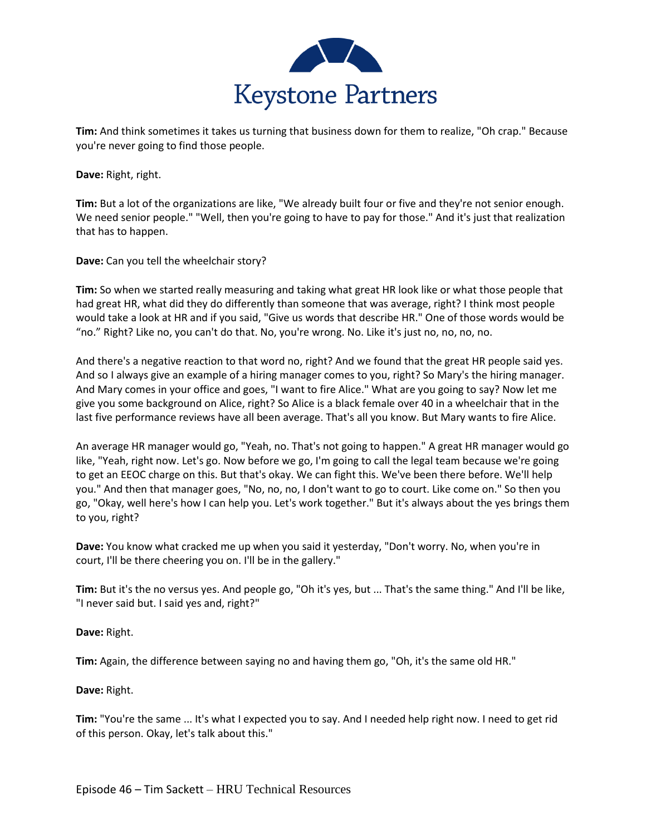

**Tim:** And think sometimes it takes us turning that business down for them to realize, "Oh crap." Because you're never going to find those people.

**Dave:** Right, right.

**Tim:** But a lot of the organizations are like, "We already built four or five and they're not senior enough. We need senior people." "Well, then you're going to have to pay for those." And it's just that realization that has to happen.

**Dave:** Can you tell the wheelchair story?

**Tim:** So when we started really measuring and taking what great HR look like or what those people that had great HR, what did they do differently than someone that was average, right? I think most people would take a look at HR and if you said, "Give us words that describe HR." One of those words would be "no." Right? Like no, you can't do that. No, you're wrong. No. Like it's just no, no, no, no.

And there's a negative reaction to that word no, right? And we found that the great HR people said yes. And so I always give an example of a hiring manager comes to you, right? So Mary's the hiring manager. And Mary comes in your office and goes, "I want to fire Alice." What are you going to say? Now let me give you some background on Alice, right? So Alice is a black female over 40 in a wheelchair that in the last five performance reviews have all been average. That's all you know. But Mary wants to fire Alice.

An average HR manager would go, "Yeah, no. That's not going to happen." A great HR manager would go like, "Yeah, right now. Let's go. Now before we go, I'm going to call the legal team because we're going to get an EEOC charge on this. But that's okay. We can fight this. We've been there before. We'll help you." And then that manager goes, "No, no, no, I don't want to go to court. Like come on." So then you go, "Okay, well here's how I can help you. Let's work together." But it's always about the yes brings them to you, right?

**Dave:** You know what cracked me up when you said it yesterday, "Don't worry. No, when you're in court, I'll be there cheering you on. I'll be in the gallery."

**Tim:** But it's the no versus yes. And people go, "Oh it's yes, but ... That's the same thing." And I'll be like, "I never said but. I said yes and, right?"

**Dave:** Right.

**Tim:** Again, the difference between saying no and having them go, "Oh, it's the same old HR."

**Dave:** Right.

**Tim:** "You're the same ... It's what I expected you to say. And I needed help right now. I need to get rid of this person. Okay, let's talk about this."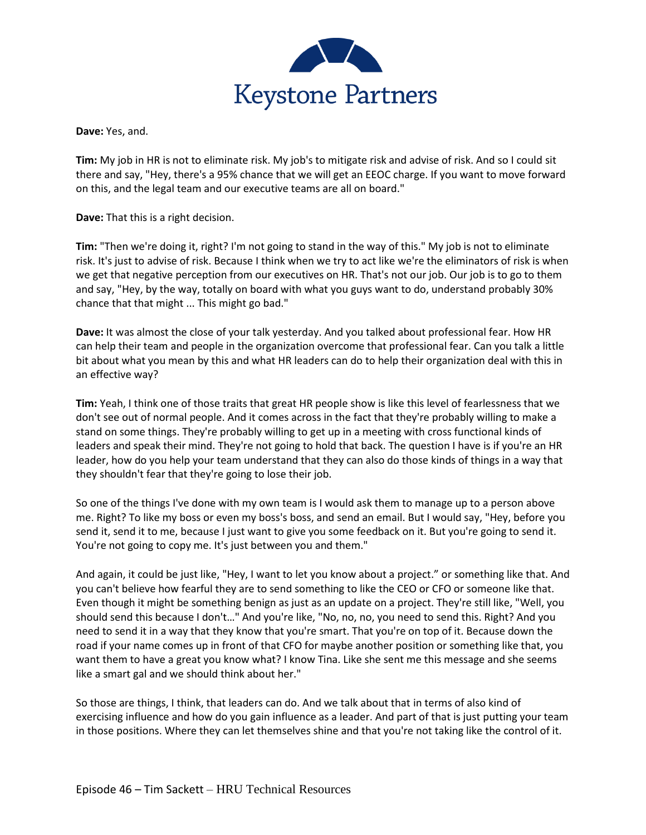

**Dave:** Yes, and.

**Tim:** My job in HR is not to eliminate risk. My job's to mitigate risk and advise of risk. And so I could sit there and say, "Hey, there's a 95% chance that we will get an EEOC charge. If you want to move forward on this, and the legal team and our executive teams are all on board."

**Dave:** That this is a right decision.

**Tim:** "Then we're doing it, right? I'm not going to stand in the way of this." My job is not to eliminate risk. It's just to advise of risk. Because I think when we try to act like we're the eliminators of risk is when we get that negative perception from our executives on HR. That's not our job. Our job is to go to them and say, "Hey, by the way, totally on board with what you guys want to do, understand probably 30% chance that that might ... This might go bad."

**Dave:** It was almost the close of your talk yesterday. And you talked about professional fear. How HR can help their team and people in the organization overcome that professional fear. Can you talk a little bit about what you mean by this and what HR leaders can do to help their organization deal with this in an effective way?

**Tim:** Yeah, I think one of those traits that great HR people show is like this level of fearlessness that we don't see out of normal people. And it comes across in the fact that they're probably willing to make a stand on some things. They're probably willing to get up in a meeting with cross functional kinds of leaders and speak their mind. They're not going to hold that back. The question I have is if you're an HR leader, how do you help your team understand that they can also do those kinds of things in a way that they shouldn't fear that they're going to lose their job.

So one of the things I've done with my own team is I would ask them to manage up to a person above me. Right? To like my boss or even my boss's boss, and send an email. But I would say, "Hey, before you send it, send it to me, because I just want to give you some feedback on it. But you're going to send it. You're not going to copy me. It's just between you and them."

And again, it could be just like, "Hey, I want to let you know about a project." or something like that. And you can't believe how fearful they are to send something to like the CEO or CFO or someone like that. Even though it might be something benign as just as an update on a project. They're still like, "Well, you should send this because I don't…" And you're like, "No, no, no, you need to send this. Right? And you need to send it in a way that they know that you're smart. That you're on top of it. Because down the road if your name comes up in front of that CFO for maybe another position or something like that, you want them to have a great you know what? I know Tina. Like she sent me this message and she seems like a smart gal and we should think about her."

So those are things, I think, that leaders can do. And we talk about that in terms of also kind of exercising influence and how do you gain influence as a leader. And part of that is just putting your team in those positions. Where they can let themselves shine and that you're not taking like the control of it.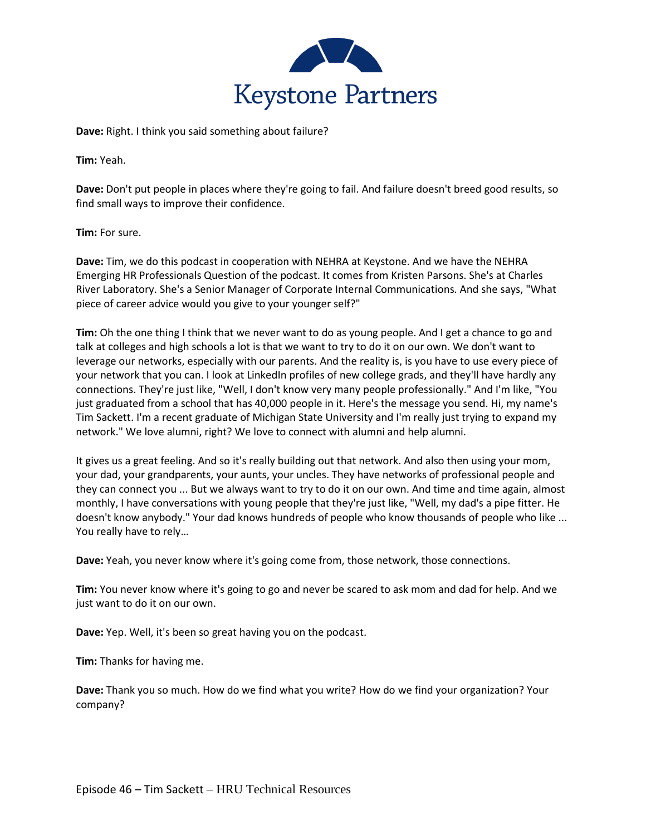

**Dave:** Right. I think you said something about failure?

**Tim:** Yeah.

**Dave:** Don't put people in places where they're going to fail. And failure doesn't breed good results, so find small ways to improve their confidence.

**Tim:** For sure.

**Dave:** Tim, we do this podcast in cooperation with NEHRA at Keystone. And we have the NEHRA Emerging HR Professionals Question of the podcast. It comes from Kristen Parsons. She's at Charles River Laboratory. She's a Senior Manager of Corporate Internal Communications. And she says, "What piece of career advice would you give to your younger self?"

**Tim:** Oh the one thing I think that we never want to do as young people. And I get a chance to go and talk at colleges and high schools a lot is that we want to try to do it on our own. We don't want to leverage our networks, especially with our parents. And the reality is, is you have to use every piece of your network that you can. I look at LinkedIn profiles of new college grads, and they'll have hardly any connections. They're just like, "Well, I don't know very many people professionally." And I'm like, "You just graduated from a school that has 40,000 people in it. Here's the message you send. Hi, my name's Tim Sackett. I'm a recent graduate of Michigan State University and I'm really just trying to expand my network." We love alumni, right? We love to connect with alumni and help alumni.

It gives us a great feeling. And so it's really building out that network. And also then using your mom, your dad, your grandparents, your aunts, your uncles. They have networks of professional people and they can connect you ... But we always want to try to do it on our own. And time and time again, almost monthly, I have conversations with young people that they're just like, "Well, my dad's a pipe fitter. He doesn't know anybody." Your dad knows hundreds of people who know thousands of people who like ... You really have to rely…

**Dave:** Yeah, you never know where it's going come from, those network, those connections.

**Tim:** You never know where it's going to go and never be scared to ask mom and dad for help. And we just want to do it on our own.

**Dave:** Yep. Well, it's been so great having you on the podcast.

**Tim:** Thanks for having me.

**Dave:** Thank you so much. How do we find what you write? How do we find your organization? Your company?